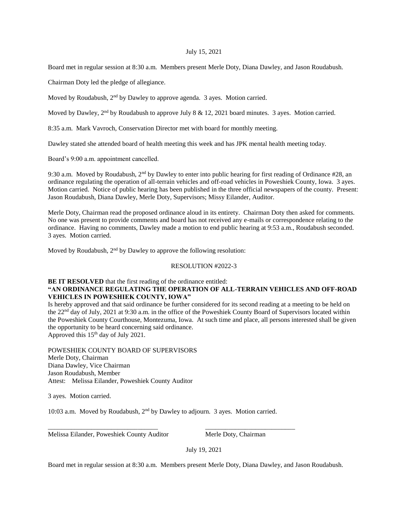## July 15, 2021

Board met in regular session at 8:30 a.m. Members present Merle Doty, Diana Dawley, and Jason Roudabush.

Chairman Doty led the pledge of allegiance.

Moved by Roudabush,  $2<sup>nd</sup>$  by Dawley to approve agenda. 3 ayes. Motion carried.

Moved by Dawley, 2<sup>nd</sup> by Roudabush to approve July 8 & 12, 2021 board minutes. 3 ayes. Motion carried.

8:35 a.m. Mark Vavroch, Conservation Director met with board for monthly meeting.

Dawley stated she attended board of health meeting this week and has JPK mental health meeting today.

Board's 9:00 a.m. appointment cancelled.

9:30 a.m. Moved by Roudabush,  $2<sup>nd</sup>$  by Dawley to enter into public hearing for first reading of Ordinance #28, an ordinance regulating the operation of all-terrain vehicles and off-road vehicles in Poweshiek County, Iowa. 3 ayes. Motion carried. Notice of public hearing has been published in the three official newspapers of the county. Present: Jason Roudabush, Diana Dawley, Merle Doty, Supervisors; Missy Eilander, Auditor.

Merle Doty, Chairman read the proposed ordinance aloud in its entirety. Chairman Doty then asked for comments. No one was present to provide comments and board has not received any e-mails or correspondence relating to the ordinance. Having no comments, Dawley made a motion to end public hearing at 9:53 a.m., Roudabush seconded. 3 ayes. Motion carried.

Moved by Roudabush,  $2<sup>nd</sup>$  by Dawley to approve the following resolution:

## RESOLUTION #2022-3

## **BE IT RESOLVED** that the first reading of the ordinance entitled: **"AN ORDINANCE REGULATING THE OPERATION OF ALL-TERRAIN VEHICLES AND OFF-ROAD VEHICLES IN POWESHIEK COUNTY, IOWA"**

Is hereby approved and that said ordinance be further considered for its second reading at a meeting to be held on the 22nd day of July, 2021 at 9:30 a.m. in the office of the Poweshiek County Board of Supervisors located within the Poweshiek County Courthouse, Montezuma, Iowa. At such time and place, all persons interested shall be given the opportunity to be heard concerning said ordinance. Approved this 15<sup>th</sup> day of July 2021.

POWESHIEK COUNTY BOARD OF SUPERVISORS Merle Doty, Chairman Diana Dawley, Vice Chairman Jason Roudabush, Member Attest: Melissa Eilander, Poweshiek County Auditor

3 ayes. Motion carried.

10:03 a.m. Moved by Roudabush,  $2<sup>nd</sup>$  by Dawley to adjourn. 3 ayes. Motion carried.

\_\_\_\_\_\_\_\_\_\_\_\_\_\_\_\_\_\_\_\_\_\_\_\_\_\_\_\_\_\_\_\_\_ \_\_\_\_\_\_\_\_\_\_\_\_\_\_\_\_\_\_\_\_\_\_\_\_\_\_\_

Melissa Eilander, Poweshiek County Auditor Merle Doty, Chairman

July 19, 2021

Board met in regular session at 8:30 a.m. Members present Merle Doty, Diana Dawley, and Jason Roudabush.